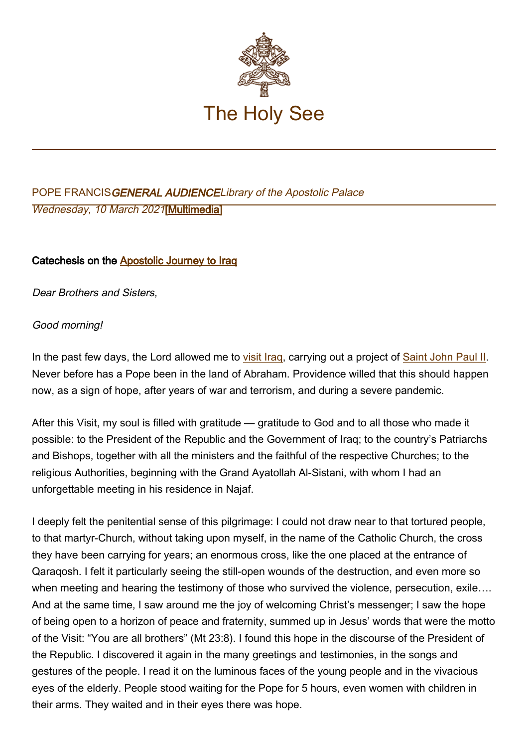

# POPE FRANCISGENERAL AUDIENCELibrary of the Apostolic Palace Wednesday, 10 March 2021[\[Multimedia](http://w2.vatican.va/content/francesco/en/events/event.dir.html/content/vaticanevents/en/2021/3/10/udienzagenerale.html)]

## Catechesis on the [Apostolic Journey to Iraq](http://www.vatican.va/content/francesco/en/events/event.dir.html/content/vaticanevents/en/2021/3/5/viaggio-iraq.html)

Dear Brothers and Sisters,

## Good morning!

In the past few days, the Lord allowed me to [visit Iraq,](http://www.vatican.va/content/francesco/en/travels/2021/outside/documents/papa-francesco-iraq-2021.html) carrying out a project of [Saint John Paul II.](http://www.vatican.va/content/john-paul-ii/en.html) Never before has a Pope been in the land of Abraham. Providence willed that this should happen now, as a sign of hope, after years of war and terrorism, and during a severe pandemic.

After this Visit, my soul is filled with gratitude — gratitude to God and to all those who made it possible: to the President of the Republic and the Government of Iraq; to the country's Patriarchs and Bishops, together with all the ministers and the faithful of the respective Churches; to the religious Authorities, beginning with the Grand Ayatollah Al-Sistani, with whom I had an unforgettable meeting in his residence in Najaf.

I deeply felt the penitential sense of this pilgrimage: I could not draw near to that tortured people, to that martyr-Church, without taking upon myself, in the name of the Catholic Church, the cross they have been carrying for years; an enormous cross, like the one placed at the entrance of Qaraqosh. I felt it particularly seeing the still-open wounds of the destruction, and even more so when meeting and hearing the testimony of those who survived the violence, persecution, exile.... And at the same time, I saw around me the joy of welcoming Christ's messenger; I saw the hope of being open to a horizon of peace and fraternity, summed up in Jesus' words that were the motto of the Visit: "You are all brothers" (Mt 23:8). I found this hope in the discourse of the President of the Republic. I discovered it again in the many greetings and testimonies, in the songs and gestures of the people. I read it on the luminous faces of the young people and in the vivacious eyes of the elderly. People stood waiting for the Pope for 5 hours, even women with children in their arms. They waited and in their eyes there was hope.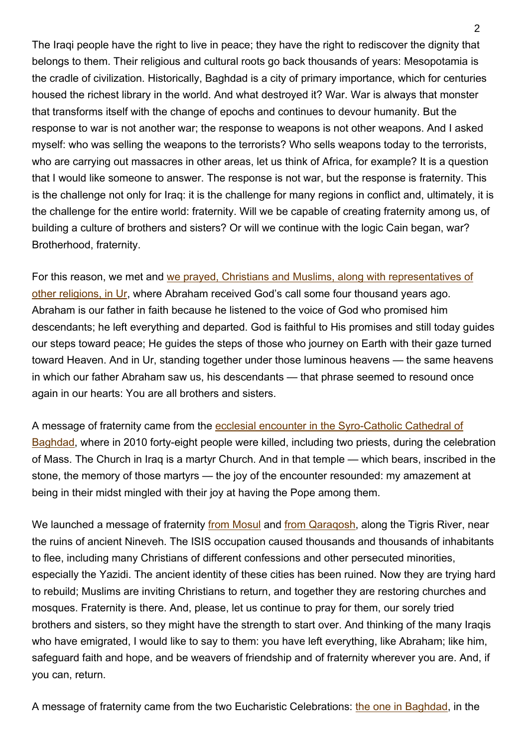The Iraqi people have the right to live in peace; they have the right to rediscover the dignity that belongs to them. Their religious and cultural roots go back thousands of years: Mesopotamia is the cradle of civilization. Historically, Baghdad is a city of primary importance, which for centuries housed the richest library in the world. And what destroyed it? War. War is always that monster that transforms itself with the change of epochs and continues to devour humanity. But the response to war is not another war; the response to weapons is not other weapons. And I asked myself: who was selling the weapons to the terrorists? Who sells weapons today to the terrorists, who are carrying out massacres in other areas, let us think of Africa, for example? It is a question that I would like someone to answer. The response is not war, but the response is fraternity. This is the challenge not only for Iraq: it is the challenge for many regions in conflict and, ultimately, it is the challenge for the entire world: fraternity. Will we be capable of creating fraternity among us, of building a culture of brothers and sisters? Or will we continue with the logic Cain began, war? Brotherhood, fraternity.

For this reason, we met and [we prayed, Christians and Muslims, along with representatives of](http://www.vatican.va/content/francesco/en/events/event.dir.html/content/vaticanevents/en/2021/3/6/iraq-incontro-interreligioso.html) [other religions, in Ur](http://www.vatican.va/content/francesco/en/events/event.dir.html/content/vaticanevents/en/2021/3/6/iraq-incontro-interreligioso.html), where Abraham received God's call some four thousand years ago. Abraham is our father in faith because he listened to the voice of God who promised him descendants; he left everything and departed. God is faithful to His promises and still today guides our steps toward peace; He guides the steps of those who journey on Earth with their gaze turned toward Heaven. And in Ur, standing together under those luminous heavens — the same heavens in which our father Abraham saw us, his descendants — that phrase seemed to resound once again in our hearts: You are all brothers and sisters.

A message of fraternity came from the [ecclesial encounter in the Syro-Catholic Cathedral of](http://www.vatican.va/content/francesco/en/events/event.dir.html/content/vaticanevents/en/2021/3/5/iraq-clero.html) [Baghdad](http://www.vatican.va/content/francesco/en/events/event.dir.html/content/vaticanevents/en/2021/3/5/iraq-clero.html), where in 2010 forty-eight people were killed, including two priests, during the celebration of Mass. The Church in Iraq is a martyr Church. And in that temple — which bears, inscribed in the stone, the memory of those martyrs — the joy of the encounter resounded: my amazement at being in their midst mingled with their joy at having the Pope among them.

We launched a message of fraternity [from Mosul](http://www.vatican.va/content/francesco/en/events/event.dir.html/content/vaticanevents/en/2021/3/7/iraq-preghiera.html) and from Qaragosh, along the Tigris River, near the ruins of ancient Nineveh. The ISIS occupation caused thousands and thousands of inhabitants to flee, including many Christians of different confessions and other persecuted minorities, especially the Yazidi. The ancient identity of these cities has been ruined. Now they are trying hard to rebuild; Muslims are inviting Christians to return, and together they are restoring churches and mosques. Fraternity is there. And, please, let us continue to pray for them, our sorely tried brothers and sisters, so they might have the strength to start over. And thinking of the many Iraqis who have emigrated, I would like to say to them: you have left everything, like Abraham; like him, safeguard faith and hope, and be weavers of friendship and of fraternity wherever you are. And, if you can, return.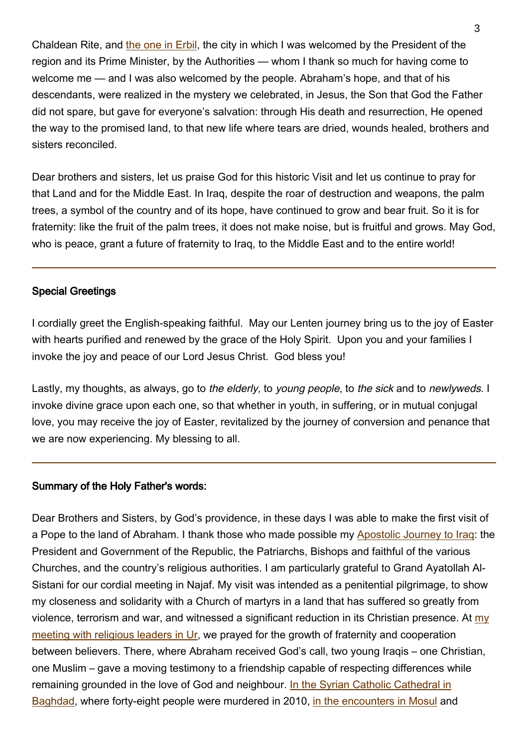Chaldean Rite, and [the one in Erbil,](http://www.vatican.va/content/francesco/en/events/event.dir.html/content/vaticanevents/en/2021/3/7/iraq-santamessa.html) the city in which I was welcomed by the President of the region and its Prime Minister, by the Authorities — whom I thank so much for having come to welcome me — and I was also welcomed by the people. Abraham's hope, and that of his descendants, were realized in the mystery we celebrated, in Jesus, the Son that God the Father did not spare, but gave for everyone's salvation: through His death and resurrection, He opened the way to the promised land, to that new life where tears are dried, wounds healed, brothers and sisters reconciled.

Dear brothers and sisters, let us praise God for this historic Visit and let us continue to pray for that Land and for the Middle East. In Iraq, despite the roar of destruction and weapons, the palm trees, a symbol of the country and of its hope, have continued to grow and bear fruit. So it is for fraternity: like the fruit of the palm trees, it does not make noise, but is fruitful and grows. May God, who is peace, grant a future of fraternity to Iraq, to the Middle East and to the entire world!

### Special Greetings

I cordially greet the English-speaking faithful. May our Lenten journey bring us to the joy of Easter with hearts purified and renewed by the grace of the Holy Spirit. Upon you and your families I invoke the joy and peace of our Lord Jesus Christ. God bless you!

Lastly, my thoughts, as always, go to the elderly, to young people, to the sick and to newlyweds. I invoke divine grace upon each one, so that whether in youth, in suffering, or in mutual conjugal love, you may receive the joy of Easter, revitalized by the journey of conversion and penance that we are now experiencing. My blessing to all.

#### Summary of the Holy Father's words:

Dear Brothers and Sisters, by God's providence, in these days I was able to make the first visit of a Pope to the land of Abraham. I thank those who made possible my [Apostolic Journey to Iraq:](http://www.vatican.va/content/francesco/en/travels/2021/outside/documents/papa-francesco-iraq-2021.html) the President and Government of the Republic, the Patriarchs, Bishops and faithful of the various Churches, and the country's religious authorities. I am particularly grateful to Grand Ayatollah Al-Sistani for our cordial meeting in Najaf. My visit was intended as a penitential pilgrimage, to show my closeness and solidarity with a Church of martyrs in a land that has suffered so greatly from violence, terrorism and war, and witnessed a significant reduction in its Christian presence. At [my](http://www.vatican.va/content/francesco/en/events/event.dir.html/content/vaticanevents/en/2021/3/6/iraq-incontro-interreligioso.html) [meeting with religious leaders in Ur,](http://www.vatican.va/content/francesco/en/events/event.dir.html/content/vaticanevents/en/2021/3/6/iraq-incontro-interreligioso.html) we prayed for the growth of fraternity and cooperation between believers. There, where Abraham received God's call, two young Iraqis – one Christian, one Muslim – gave a moving testimony to a friendship capable of respecting differences while remaining grounded in the love of God and neighbour. [In the Syrian Catholic Cathedral in](http://www.vatican.va/content/francesco/en/events/event.dir.html/content/vaticanevents/en/2021/3/5/iraq-clero.html) [Baghdad](http://www.vatican.va/content/francesco/en/events/event.dir.html/content/vaticanevents/en/2021/3/5/iraq-clero.html), where forty-eight people were murdered in 2010, [in the encounters in Mosul](http://www.vatican.va/content/francesco/en/events/event.dir.html/content/vaticanevents/en/2021/3/7/iraq-preghiera.html) and